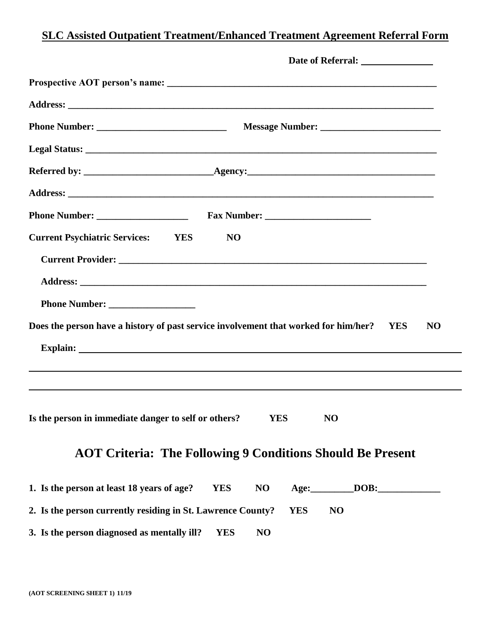## **SLC Assisted Outpatient Treatment/Enhanced Treatment Agreement Referral Form**

| <b>Current Psychiatric Services:</b> YES                    | N <sub>O</sub>                                                                                       |
|-------------------------------------------------------------|------------------------------------------------------------------------------------------------------|
|                                                             |                                                                                                      |
|                                                             |                                                                                                      |
|                                                             |                                                                                                      |
|                                                             | Does the person have a history of past service involvement that worked for him/her? YES<br><b>NO</b> |
|                                                             |                                                                                                      |
|                                                             |                                                                                                      |
|                                                             |                                                                                                      |
| Is the person in immediate danger to self or others?        | <b>YES</b><br>N <sub>O</sub>                                                                         |
|                                                             | <b>AOT Criteria: The Following 9 Conditions Should Be Present</b>                                    |
| 1. Is the person at least 18 years of age?                  | <b>YES</b><br>N <sub>O</sub><br>DOB:<br>Age:                                                         |
| 2. Is the person currently residing in St. Lawrence County? | <b>YES</b><br>NO                                                                                     |
| 3. Is the person diagnosed as mentally ill?                 | N <sub>O</sub><br><b>YES</b>                                                                         |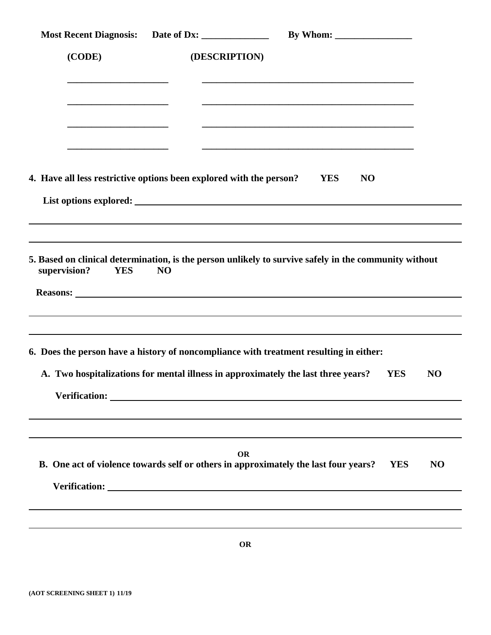| Most Recent Diagnosis: Date of Dx:                                                                                            |                                                                                                                           |
|-------------------------------------------------------------------------------------------------------------------------------|---------------------------------------------------------------------------------------------------------------------------|
| (CODE)                                                                                                                        | (DESCRIPTION)                                                                                                             |
|                                                                                                                               |                                                                                                                           |
| <u> 1989 - Johann John Stone, mars et al. 1989 - John Stone, mars et al. 1989 - John Stone, mars et al. 1989 - John Stone</u> | and the control of the control of the control of the control of the control of the control of the control of the          |
|                                                                                                                               |                                                                                                                           |
| 4. Have all less restrictive options been explored with the person?                                                           | <b>YES</b><br>NO                                                                                                          |
|                                                                                                                               |                                                                                                                           |
| supervision?<br><b>YES</b><br>N <sub>O</sub>                                                                                  |                                                                                                                           |
|                                                                                                                               | 6. Does the person have a history of noncompliance with treatment resulting in either:                                    |
|                                                                                                                               | A. Two hospitalizations for mental illness in approximately the last three years?<br><b>YES</b><br>N <sub>O</sub>         |
|                                                                                                                               |                                                                                                                           |
|                                                                                                                               | OR<br>B. One act of violence towards self or others in approximately the last four years?<br><b>YES</b><br>N <sub>O</sub> |
|                                                                                                                               |                                                                                                                           |
|                                                                                                                               | <b>OR</b>                                                                                                                 |